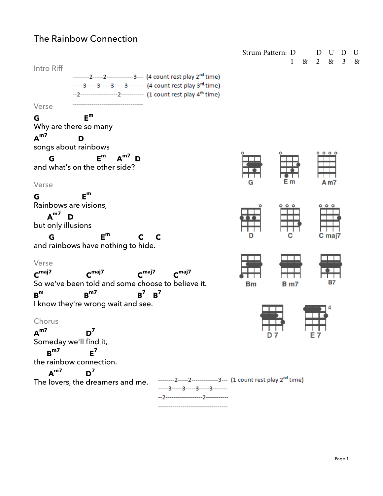# The Rainbow Connection

| Strum Pattern: D                                                                                        |           |              | U D<br>D        | U |
|---------------------------------------------------------------------------------------------------------|-----------|--------------|-----------------|---|
| Intro Riff                                                                                              |           | $\mathbf{1}$ | & 2 & 3 &       |   |
| --------2-----2----------------3--- (4 count rest play 2 <sup>nd</sup> time)                            |           |              |                 |   |
| -----3-----3-----3-----3------- (4 count rest play 3rd time)                                            |           |              |                 |   |
| --2--------------------2----------- (1 count rest play 4 <sup>th</sup> time)                            |           |              |                 |   |
| Verse                                                                                                   |           |              |                 |   |
| $E^m$<br>G                                                                                              |           |              |                 |   |
| Why are there so many                                                                                   |           |              |                 |   |
| $A^{m7}$<br>D                                                                                           |           |              |                 |   |
| songs about rainbows                                                                                    |           |              | 000             |   |
| $E^m$ $A^{m7}$ D<br>G                                                                                   |           |              |                 |   |
| and what's on the other side?                                                                           |           |              |                 |   |
| Verse                                                                                                   | G         |              | A m7            |   |
| $E^m$<br>G                                                                                              |           |              |                 |   |
| Rainbows are visions,                                                                                   |           |              | $\circ$ $\circ$ |   |
| $A^{m7}$<br>D                                                                                           |           |              |                 |   |
| but only illusions                                                                                      |           |              |                 |   |
| $E^m$<br>$\mathbf{C}$<br>G<br>$\mathbf{C}$                                                              |           |              | C maj7          |   |
| and rainbows have nothing to hide.                                                                      |           |              |                 |   |
| Verse                                                                                                   |           |              |                 |   |
| $C^{maj7}$<br>C <sub>maj7</sub><br>C <sub>maj7</sub><br>$C^{maj7}$                                      |           |              |                 |   |
| So we've been told and some choose to believe it.                                                       | <b>Bm</b> | <b>B</b> m7  | <b>B7</b>       |   |
| $B^m$<br>$B^7$ $B^7$<br>$B^{m7}$                                                                        |           |              |                 |   |
| I know they're wrong wait and see.                                                                      |           |              |                 |   |
|                                                                                                         |           |              |                 |   |
| Chorus                                                                                                  |           |              |                 |   |
| $A^{m7}$<br>$D^7$                                                                                       | D 7       |              | E 7             |   |
| Someday we'll find it,                                                                                  |           |              |                 |   |
| $R^{m7}$<br>$F^7$                                                                                       |           |              |                 |   |
| the rainbow connection.                                                                                 |           |              |                 |   |
| A <sup>m7</sup><br>$D^7$<br>--------2-----2---------------3--- (1 count rest play 2 <sup>nd</sup> time) |           |              |                 |   |
| The lovers, the dreamers and me.<br>------3------3------3------3--------                                |           |              |                 |   |
|                                                                                                         |           |              |                 |   |
| ---------------------------                                                                             |           |              |                 |   |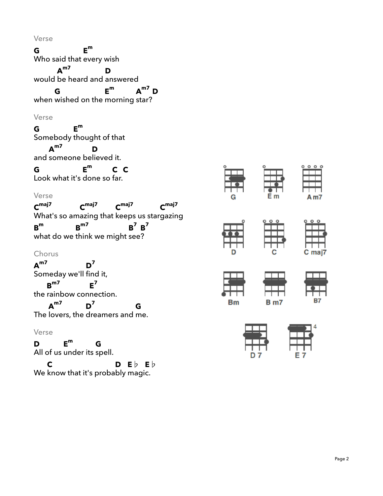Verse

**G** Who said that every wish **Em** would be heard and answered **Am7 D** when wished on the morning star? **G Em Am7 D** Verse **G** Somebody thought of that **Em** and someone be lieved it. **Am7 D G** Look what it's done so far. **Em C C** Verse **Cmaj7** What's so amazing that keeps us stargazing **Cmaj7 Cmaj7 Cmaj7 Bm** what do we think we might see ? **Bm7**  $B^7$   $B^7$ Chorus **Am7** Someday we'll find it, **D7** the rainbow con nection. **Bm7 E7** The lovers, the dreamers and me. **Am7 D7 G**

#### Verse

**D** All of us under its spell. **Em G C D E**♭ **E**♭

We know that it's proba bly magi c.